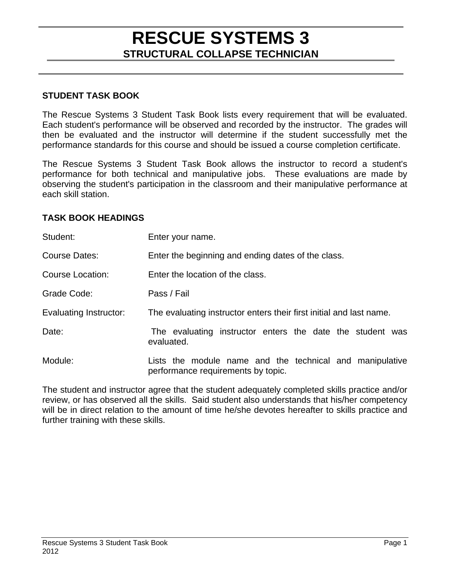#### **STUDENT TASK BOOK**

The Rescue Systems 3 Student Task Book lists every requirement that will be evaluated. Each student's performance will be observed and recorded by the instructor. The grades will then be evaluated and the instructor will determine if the student successfully met the performance standards for this course and should be issued a course completion certificate.

The Rescue Systems 3 Student Task Book allows the instructor to record a student's performance for both technical and manipulative jobs. These evaluations are made by observing the student's participation in the classroom and their manipulative performance at each skill station.

#### **TASK BOOK HEADINGS**

| Student:               | Enter your name.                                                                               |
|------------------------|------------------------------------------------------------------------------------------------|
| Course Dates:          | Enter the beginning and ending dates of the class.                                             |
| Course Location:       | Enter the location of the class.                                                               |
| Grade Code:            | Pass / Fail                                                                                    |
| Evaluating Instructor: | The evaluating instructor enters their first initial and last name.                            |
| Date:                  | The evaluating instructor enters the date the student was<br>evaluated.                        |
| Module:                | Lists the module name and the technical and manipulative<br>performance requirements by topic. |

The student and instructor agree that the student adequately completed skills practice and/or review, or has observed all the skills. Said student also understands that his/her competency will be in direct relation to the amount of time he/she devotes hereafter to skills practice and further training with these skills.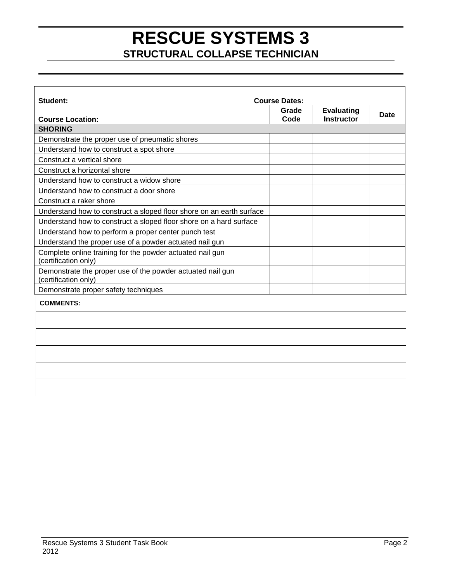| Student:                                                                           | <b>Course Dates:</b> |                                        |      |
|------------------------------------------------------------------------------------|----------------------|----------------------------------------|------|
| <b>Course Location:</b>                                                            | Grade<br>Code        | <b>Evaluating</b><br><b>Instructor</b> | Date |
| <b>SHORING</b>                                                                     |                      |                                        |      |
| Demonstrate the proper use of pneumatic shores                                     |                      |                                        |      |
| Understand how to construct a spot shore                                           |                      |                                        |      |
| Construct a vertical shore                                                         |                      |                                        |      |
| Construct a horizontal shore                                                       |                      |                                        |      |
| Understand how to construct a widow shore                                          |                      |                                        |      |
| Understand how to construct a door shore                                           |                      |                                        |      |
| Construct a raker shore                                                            |                      |                                        |      |
| Understand how to construct a sloped floor shore on an earth surface               |                      |                                        |      |
| Understand how to construct a sloped floor shore on a hard surface                 |                      |                                        |      |
| Understand how to perform a proper center punch test                               |                      |                                        |      |
| Understand the proper use of a powder actuated nail gun                            |                      |                                        |      |
| Complete online training for the powder actuated nail gun<br>(certification only)  |                      |                                        |      |
| Demonstrate the proper use of the powder actuated nail gun<br>(certification only) |                      |                                        |      |
| Demonstrate proper safety techniques                                               |                      |                                        |      |
| <b>COMMENTS:</b>                                                                   |                      |                                        |      |
|                                                                                    |                      |                                        |      |
|                                                                                    |                      |                                        |      |
|                                                                                    |                      |                                        |      |
|                                                                                    |                      |                                        |      |
|                                                                                    |                      |                                        |      |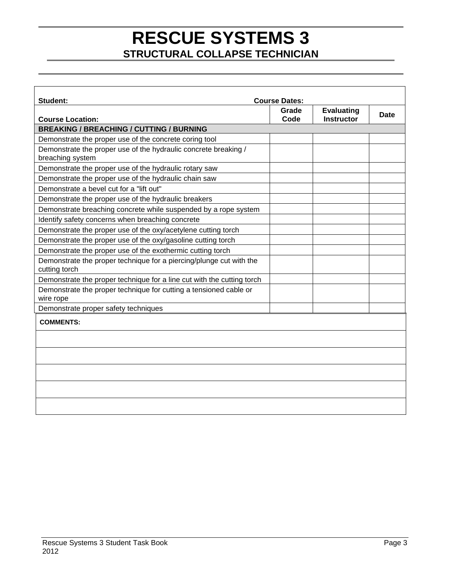| Student:<br><b>Course Dates:</b>                                                     |               |                                        |      |
|--------------------------------------------------------------------------------------|---------------|----------------------------------------|------|
| <b>Course Location:</b>                                                              | Grade<br>Code | <b>Evaluating</b><br><b>Instructor</b> | Date |
| <b>BREAKING / BREACHING / CUTTING / BURNING</b>                                      |               |                                        |      |
| Demonstrate the proper use of the concrete coring tool                               |               |                                        |      |
| Demonstrate the proper use of the hydraulic concrete breaking /<br>breaching system  |               |                                        |      |
| Demonstrate the proper use of the hydraulic rotary saw                               |               |                                        |      |
| Demonstrate the proper use of the hydraulic chain saw                                |               |                                        |      |
| Demonstrate a bevel cut for a "lift out"                                             |               |                                        |      |
| Demonstrate the proper use of the hydraulic breakers                                 |               |                                        |      |
| Demonstrate breaching concrete while suspended by a rope system                      |               |                                        |      |
| Identify safety concerns when breaching concrete                                     |               |                                        |      |
| Demonstrate the proper use of the oxy/acetylene cutting torch                        |               |                                        |      |
| Demonstrate the proper use of the oxy/gasoline cutting torch                         |               |                                        |      |
| Demonstrate the proper use of the exothermic cutting torch                           |               |                                        |      |
| Demonstrate the proper technique for a piercing/plunge cut with the<br>cutting torch |               |                                        |      |
| Demonstrate the proper technique for a line cut with the cutting torch               |               |                                        |      |
| Demonstrate the proper technique for cutting a tensioned cable or<br>wire rope       |               |                                        |      |
| Demonstrate proper safety techniques                                                 |               |                                        |      |
| <b>COMMENTS:</b>                                                                     |               |                                        |      |
|                                                                                      |               |                                        |      |
|                                                                                      |               |                                        |      |
|                                                                                      |               |                                        |      |
|                                                                                      |               |                                        |      |
|                                                                                      |               |                                        |      |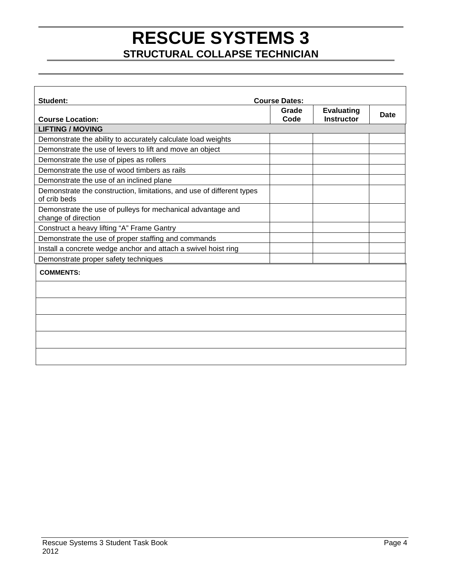| Student:                                                                              | <b>Course Dates:</b> |                                        |      |
|---------------------------------------------------------------------------------------|----------------------|----------------------------------------|------|
| <b>Course Location:</b>                                                               | Grade<br>Code        | <b>Evaluating</b><br><b>Instructor</b> | Date |
| <b>LIFTING / MOVING</b>                                                               |                      |                                        |      |
| Demonstrate the ability to accurately calculate load weights                          |                      |                                        |      |
| Demonstrate the use of levers to lift and move an object                              |                      |                                        |      |
| Demonstrate the use of pipes as rollers                                               |                      |                                        |      |
| Demonstrate the use of wood timbers as rails                                          |                      |                                        |      |
| Demonstrate the use of an inclined plane                                              |                      |                                        |      |
| Demonstrate the construction, limitations, and use of different types<br>of crib beds |                      |                                        |      |
| Demonstrate the use of pulleys for mechanical advantage and<br>change of direction    |                      |                                        |      |
| Construct a heavy lifting "A" Frame Gantry                                            |                      |                                        |      |
| Demonstrate the use of proper staffing and commands                                   |                      |                                        |      |
| Install a concrete wedge anchor and attach a swivel hoist ring                        |                      |                                        |      |
| Demonstrate proper safety techniques                                                  |                      |                                        |      |
| <b>COMMENTS:</b>                                                                      |                      |                                        |      |
|                                                                                       |                      |                                        |      |
|                                                                                       |                      |                                        |      |
|                                                                                       |                      |                                        |      |
|                                                                                       |                      |                                        |      |
|                                                                                       |                      |                                        |      |